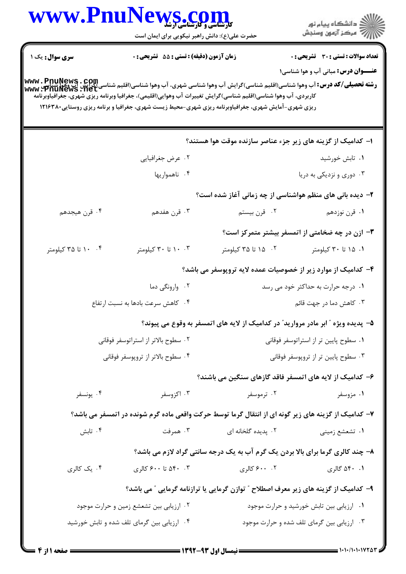| ر<br>دانشڪاه پيام نور)<br>سڪز آزمون وسنڊش                                                  |                                                                                                                                                                                                                                                                                                                                                                       | حضرت علی(ع): دانش راهبر نیکویی برای ایمان است | WWW.PnuNews.com     |  |
|--------------------------------------------------------------------------------------------|-----------------------------------------------------------------------------------------------------------------------------------------------------------------------------------------------------------------------------------------------------------------------------------------------------------------------------------------------------------------------|-----------------------------------------------|---------------------|--|
| <b>تعداد سوالات : تستی : 30 ٪ تشریحی : 0</b><br><b>عنـــوان درس:</b> مبانی آب و هوا شناسی۱ |                                                                                                                                                                                                                                                                                                                                                                       | زمان آزمون (دقیقه) : تستی : 55 تشریحی : 0     | سری سوال: یک ۱      |  |
|                                                                                            | <b>رشته تحصیلی/کد درس: آ</b> ب وهوا شناسی(اقلیم شناسی)گرایش آب وهوا شناسی شهری، آب وهوا شناسی(اقلیم شناسی)گرایش آب وهوا<br>WWW • PnuNews • Net<br>کاربردی، آب وهوا شناسی(اقلیم شناسی)گرایش تغییرات آب وهوایی(اقلیمی)، جغرافیا وبرنامه ریزی شهری، جغرافیاوبرنامه<br>ریزی شهری-آمایش شهری، جغرافیاوبرنامه ریزی شهری-محیط زیست شهری، جغرافیا و برنامه ریزی روستایی۲۱۶۳۸۰ |                                               |                     |  |
|                                                                                            | ۱– کدامیک از گزینه های زیر جزء عناصر سازنده موقت هوا هستند؟                                                                                                                                                                                                                                                                                                           |                                               |                     |  |
| ۰۱ تابش خورشید                                                                             |                                                                                                                                                                                                                                                                                                                                                                       | ۰۲ عرض جغرافیایی                              |                     |  |
| ۰۳ دوری و نزدیکی به دریا                                                                   |                                                                                                                                                                                                                                                                                                                                                                       | ۰۴ ناهمواریها                                 |                     |  |
|                                                                                            | ۲- دیده بانی های منظم هواشناسی از چه زمانی آغاز شده است؟                                                                                                                                                                                                                                                                                                              |                                               |                     |  |
| ۰۱ قرن نوزدهم                                                                              | ۰۲ قرن بیستم                                                                                                                                                                                                                                                                                                                                                          | ۰۳ قرن هفدهم                                  | ۰۴ قرن هيجدهم       |  |
| ۳- ازن در چه ضخامتی از اتمسفر بیشتر متمرکز است؟                                            |                                                                                                                                                                                                                                                                                                                                                                       |                                               |                     |  |
| ۰۱ ۱۵ تا ۳۰ کیلومتر                                                                        | ۰۲ ه۱ تا ۳۵ کیلومتر                                                                                                                                                                                                                                                                                                                                                   | ۰. ۲۰ تا ۳۰ کیلومتر                           | ۰۴ ۱۰ تا ۳۵ کیلومتر |  |
|                                                                                            | ۴– کدامیک از موارد زیر از خصوصیات عمده لایه تروپوسفر می باشد؟                                                                                                                                                                                                                                                                                                         |                                               |                     |  |
| ۰۱ درجه حرارت به حداکثر خود می رسد                                                         |                                                                                                                                                                                                                                                                                                                                                                       | ۰۲ وارونگی دما                                |                     |  |
| ۰۳ کاهش دما در جهت قائم                                                                    |                                                                                                                                                                                                                                                                                                                                                                       | ۰۴ کاهش سرعت بادها به نسبت ارتفاع             |                     |  |
|                                                                                            | ۵– پدیده ویژه ″ ابر مادر مروارید″ در کدامیک از لایه های اتمسفر به وقوع می پیوند؟                                                                                                                                                                                                                                                                                      |                                               |                     |  |
| ۰۱ سطوح پایین تر از استراتوسفر فوقانی                                                      |                                                                                                                                                                                                                                                                                                                                                                       | ۰۲ سطوح بالاتر از استراتوسفر فوقانی           |                     |  |
| ۰۳ سطوح پایین تر از تروپوسفر فوقانی                                                        |                                                                                                                                                                                                                                                                                                                                                                       | ۰۴ سطوح بالاتر از تروپوسفر فوقانی             |                     |  |
|                                                                                            | ۶– کدامیک از لایه های اتمسفر فاقد گازهای سنگین می باشند؟                                                                                                                                                                                                                                                                                                              |                                               |                     |  |
| ۰۱ مزوسفر                                                                                  | ۰۲ ترموسفر                                                                                                                                                                                                                                                                                                                                                            | ۰۳ اکزوسفر                                    | ۰۴ يونسفر           |  |
|                                                                                            | ۷– کدامیک از گزینه های زیر گونه ای از انتقال گرما توسط حرکت واقعی ماده گرم شونده در اتمسفر می باشد؟                                                                                                                                                                                                                                                                   |                                               |                     |  |
| ۰۱ تشعشع زمینی                                                                             | ۰۲ پدیده گلخانه ای                                                                                                                                                                                                                                                                                                                                                    | همرفت $\cdot$ ۳ .                             | ۰۴ تابش             |  |
|                                                                                            | ۸- چند کالری گرما برای بالا بردن یک گرم آب به یک درجه سانتی گراد لازم می باشد؟                                                                                                                                                                                                                                                                                        |                                               |                     |  |
| ۰۱ ۵۴۰ گالري                                                                               | ۰۰ ۶۰۰ کالري                                                                                                                                                                                                                                                                                                                                                          | ۴۰ ۵۴۰ تا ۶۰۰ کالري                           | ۰۴ یک کالری         |  |
|                                                                                            | ۹– کدامیک از گزینه های زیر معرف اصطلاح ″ توازن گرمایی یا ترازنامه گرمایی ″ می باشد؟                                                                                                                                                                                                                                                                                   |                                               |                     |  |
| ۰۱ ارزیابی بین تابش خورشید و حرارت موجود                                                   |                                                                                                                                                                                                                                                                                                                                                                       | ۰۲ ارزیابی بین تشعشع زمین و حرارت موجود       |                     |  |
| ۰۳ ارزیابی بین گرمای تلف شده و حرارت موجود                                                 |                                                                                                                                                                                                                                                                                                                                                                       | ۰۴ ارزیابی بین گرمای تلف شده و تابش خورشید    |                     |  |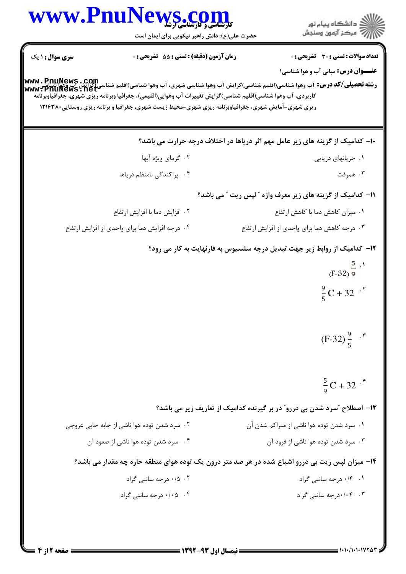|                        | WWW.PnuNews.com<br>حضرت علی(ع): دانش راهبر نیکویی برای ایمان است                                                                                                                                                    | ڪ دانشڪاه پيام نور<br>7- مرڪز آزمون وسنڊش                                                                                                                                                      |
|------------------------|---------------------------------------------------------------------------------------------------------------------------------------------------------------------------------------------------------------------|------------------------------------------------------------------------------------------------------------------------------------------------------------------------------------------------|
| <b>سری سوال : ۱ یک</b> | زمان آزمون (دقيقه) : تستى : 55 تشريحى : 0                                                                                                                                                                           | <b>تعداد سوالات : تستي : 30 ٪ تشريحي : 0</b>                                                                                                                                                   |
|                        | کاربردی، آب وهوا شناسی(اقلیم شناسی)گرایش تغییرات آب وهوایی(اقلیمی)، جغرافیا وبرنامه ریزی شهری، جغرافیاوبرنامه<br>ریزی شهری-آمایش شهری، جغرافیاوبرنامه ریزی شهری-محیط زیست شهری، جغرافیا و برنامه ریزی روستایی۲۱۶۳۸۰ | <b>عنـــوان درس:</b> مبانی آب و هوا شناسی۱<br><b>رشته تحصیلی/کد درس:</b> آب وهوا شناسی(اقلیم شناسی)گرایش آب وهوا شناسی شهری، آب وهوا شناسی(اقلیم شناسی)گرایش آب وهوا<br>سنگ www: PnuNews . net |
|                        |                                                                                                                                                                                                                     |                                                                                                                                                                                                |
|                        | ۰۲ گرمای ویژه آبها                                                                                                                                                                                                  | ۱۰– کدامیک از گزینه های زیر عامل مهم اثر دریاها در اختلاف درجه حرارت می باشد؟<br>٠١ جريانهاي دريايي                                                                                            |
|                        | ۰۴ پراکندگی نامنظم دریاها                                                                                                                                                                                           | ۰۳ همرفت                                                                                                                                                                                       |
|                        |                                                                                                                                                                                                                     |                                                                                                                                                                                                |
|                        |                                                                                                                                                                                                                     | 11– كداميك از گزينه هاي زير معرف واژه ″ لپس ريت ″ مي باشد؟                                                                                                                                     |
|                        | ۰۲ افزایش دما با افزایش ارتفاع<br>۰۴ درجه افزایش دما برای واحدی از افزایش ارتفاع                                                                                                                                    | ۰۱ میزان کاهش دما با کاهش ارتفاع<br>۰۳ درجه کاهش دما برای واحدی از افزایش ارتفاع                                                                                                               |
|                        |                                                                                                                                                                                                                     |                                                                                                                                                                                                |
|                        |                                                                                                                                                                                                                     | <b>۱۲</b> - کدامیک از روابط زیر جهت تبدیل درجه سلسیوس به فارنهایت به کار می رود؟<br>$(F-32)$ $\frac{5}{9}$ $\cdot$ 1                                                                           |
|                        |                                                                                                                                                                                                                     | $\frac{9}{5}C + 32$ . <sup>7</sup>                                                                                                                                                             |
|                        |                                                                                                                                                                                                                     | $(F-32)\frac{9}{5}$ . $\sqrt{9}$                                                                                                                                                               |
|                        |                                                                                                                                                                                                                     | $\frac{5}{9}C + 32$ . $\frac{5}{9}$                                                                                                                                                            |
|                        |                                                                                                                                                                                                                     | ۱۳- اصطلاح ″سرد شدن بی دررو″ در بر گیرنده کدامیک از تعاریف زیر می باشد؟                                                                                                                        |
|                        | ۰۲ سرد شدن توده هوا ناشی از جابه جایی عروجی                                                                                                                                                                         | ۰۱ سرد شدن توده هوا ناشی از متراکم شدن آن                                                                                                                                                      |
|                        | ۰۴ سرد شدن توده هوا ناشی از صعود آن                                                                                                                                                                                 | ۰۳ سرد شدن توده هوا ناشی از فرود آن                                                                                                                                                            |
|                        |                                                                                                                                                                                                                     | ۱۴- میزان لپس ریت بی دررو اشباع شده در هر صد متر درون یک توده هوای منطقه حاره چه مقدار می باشد؟                                                                                                |
|                        | ۰۱۲ ۰/۵ درجه سانتی گراد                                                                                                                                                                                             | ۰۱ ۰/۴ درجه سانتی گراد                                                                                                                                                                         |
|                        | ۰/۰۵ درجه سانتی گراد                                                                                                                                                                                                | ۰۳ . ۰/۰۰درجه سانتی گراد                                                                                                                                                                       |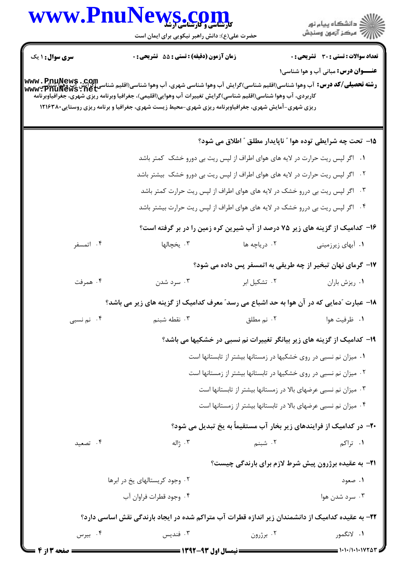| www.Pnul               |                                                                                                                                                                                                                                                                                                                                                                                                                                                                                                                                                                                                                                                                                                                                                                                                                                                                                                                                                                                                                                                                                                                                                                                                                                                                                                                                                                                                                                                                                                                                                                                                                                                                                                                                                                                                                                                                                                                                                                                                                                                                                                                                |                     | ڪ دانشڪاه پيام نور<br>/7 مرڪز آزمون وسنڊش |
|------------------------|--------------------------------------------------------------------------------------------------------------------------------------------------------------------------------------------------------------------------------------------------------------------------------------------------------------------------------------------------------------------------------------------------------------------------------------------------------------------------------------------------------------------------------------------------------------------------------------------------------------------------------------------------------------------------------------------------------------------------------------------------------------------------------------------------------------------------------------------------------------------------------------------------------------------------------------------------------------------------------------------------------------------------------------------------------------------------------------------------------------------------------------------------------------------------------------------------------------------------------------------------------------------------------------------------------------------------------------------------------------------------------------------------------------------------------------------------------------------------------------------------------------------------------------------------------------------------------------------------------------------------------------------------------------------------------------------------------------------------------------------------------------------------------------------------------------------------------------------------------------------------------------------------------------------------------------------------------------------------------------------------------------------------------------------------------------------------------------------------------------------------------|---------------------|-------------------------------------------|
| <b>سری سوال : ۱ یک</b> |                                                                                                                                                                                                                                                                                                                                                                                                                                                                                                                                                                                                                                                                                                                                                                                                                                                                                                                                                                                                                                                                                                                                                                                                                                                                                                                                                                                                                                                                                                                                                                                                                                                                                                                                                                                                                                                                                                                                                                                                                                                                                                                                |                     |                                           |
|                        |                                                                                                                                                                                                                                                                                                                                                                                                                                                                                                                                                                                                                                                                                                                                                                                                                                                                                                                                                                                                                                                                                                                                                                                                                                                                                                                                                                                                                                                                                                                                                                                                                                                                                                                                                                                                                                                                                                                                                                                                                                                                                                                                |                     |                                           |
|                        | <b>VS .COM</b><br>حضرت علی(ع): دانش راهبر نیکویی برای ایمان است<br>زمان آزمون (دقیقه) : تستی : 55 آتشریحی : 0<br><b>تعداد سوالات : تستی : 30 ٪ تشریحی : 0</b><br><b>عنـــوان درس:</b> مبانی آب و هوا شناسی۱<br><b>رشته تحصیلی/کد درس:</b> آب وهوا شناسی(اقلیم شناسی)گرایش آب وهوا شناسی شهری، آب وهوا شناسی(اقلیم شناسی)گرایش آب وهوا<br>سنگ www: PnuNews . net<br>کاربردی، آب وهوا شناسی(اقلیم شناسی)گرایش تغییرات آب وهوایی(اقلیمی)، جغرافیا وبرنامه ریزی شهری، جغرافیاوبرنامه<br>ریزی شهری-آمایش شهری، جغرافیاوبرنامه ریزی شهری-محیط زیست شهری، جغرافیا و برنامه ریزی روستایی۲۸۰ ۱۲۱۶<br>۱۵– تحت چه شرایطی توده هوا " ناپایدار مطلق " اطلاق می شود؟<br>۰۱ اگر لپس ریت حرارت در لایه های هوای اطراف از لپس ریت بی دورو خشک کمتر باشد<br>۰۲ اگر لپس ریت حرارت در لایه های هوای اطراف از لپس ریت بی دورو خشک بیشتر باشد<br>۰۳ اگر لپس ریت بی دررو خشک در لایه های هوای اطراف از لپس ریت حرارت کمتر باشد<br>۰۴ اگر لپس ریت بی دررو خشک در لایه های هوای اطراف از لپس ریت حرارت بیشتر باشد<br>۱۶- کدامیک از گزینه های زیر ۷۵ درصد از آب شیرین کره زمین را در بر گرفته است؟<br>۰۳ یخچالها<br>۰۲ دریاچه ها<br>۰۱ آبهای زیرزمینی<br>۱۷- گرمای نهان تبخیر از چه طریقی به اتمسفر پس داده می شود؟<br>۰۲ تشکیل ابر<br>۰۳ سرد شدن<br>٠١ ريزش باران<br>۱۸– عبارت ″دمایی که در آن هوا به حد اشباع می رسد″ معرف کدامیک از گزینه های زیر می باشد؟<br>۰۲ نم مطلق<br>۰۱ ظرفیت هوا<br>۰۳ نقطه شبنم<br>۱۹- کدامیک از گزینه های زیر بیانگر تغییرات نم نسبی در خشکیها می باشد؟<br>۰۱ میزان نم نسبی در روی خشکیها در زمستانها بیشتر از تابستانها است<br>۰۲ میزان نم نسبی در روی خشکیها در تابستانها بیشتر از زمستانها است<br>۰۳ میزان نم نسبی عرضهای بالا در زمستانها بیشتر از تابستانها است<br>۰۴ میزان نم نسبی عرضهای بالا در تابستانها بیشتر از زمستانها است<br>۲۰- در کدامیک از فرایندهای زیر بخار آب مستقیماً به یخ تبدیل می شود؟<br>۰۱ تراکم<br>۰۳ ژاله<br>۰۲ شبنم<br><b>۲۱</b> - به عقیده برژرون پیش شرط لازم برای بارندگی چیست؟<br>۰۲ وجود کریستالهای یخ در ابرها<br>۰۱ صعود<br>۰۴ وجود قطرات فراوان آب<br>۰۳ سرد شدن هوا<br>۲۲– به عقیده کدامیک از دانشمندان زیر اندازه قطرات آب متراکم شده در ایجاد بارندگی نقش اساسی دارد؟<br>۰۱ لانگمور |                     |                                           |
|                        |                                                                                                                                                                                                                                                                                                                                                                                                                                                                                                                                                                                                                                                                                                                                                                                                                                                                                                                                                                                                                                                                                                                                                                                                                                                                                                                                                                                                                                                                                                                                                                                                                                                                                                                                                                                                                                                                                                                                                                                                                                                                                                                                |                     |                                           |
|                        |                                                                                                                                                                                                                                                                                                                                                                                                                                                                                                                                                                                                                                                                                                                                                                                                                                                                                                                                                                                                                                                                                                                                                                                                                                                                                                                                                                                                                                                                                                                                                                                                                                                                                                                                                                                                                                                                                                                                                                                                                                                                                                                                |                     |                                           |
|                        |                                                                                                                                                                                                                                                                                                                                                                                                                                                                                                                                                                                                                                                                                                                                                                                                                                                                                                                                                                                                                                                                                                                                                                                                                                                                                                                                                                                                                                                                                                                                                                                                                                                                                                                                                                                                                                                                                                                                                                                                                                                                                                                                |                     |                                           |
|                        |                                                                                                                                                                                                                                                                                                                                                                                                                                                                                                                                                                                                                                                                                                                                                                                                                                                                                                                                                                                                                                                                                                                                                                                                                                                                                                                                                                                                                                                                                                                                                                                                                                                                                                                                                                                                                                                                                                                                                                                                                                                                                                                                |                     |                                           |
|                        |                                                                                                                                                                                                                                                                                                                                                                                                                                                                                                                                                                                                                                                                                                                                                                                                                                                                                                                                                                                                                                                                                                                                                                                                                                                                                                                                                                                                                                                                                                                                                                                                                                                                                                                                                                                                                                                                                                                                                                                                                                                                                                                                |                     |                                           |
| ۰۴ اتمسفر              |                                                                                                                                                                                                                                                                                                                                                                                                                                                                                                                                                                                                                                                                                                                                                                                                                                                                                                                                                                                                                                                                                                                                                                                                                                                                                                                                                                                                                                                                                                                                                                                                                                                                                                                                                                                                                                                                                                                                                                                                                                                                                                                                |                     |                                           |
|                        |                                                                                                                                                                                                                                                                                                                                                                                                                                                                                                                                                                                                                                                                                                                                                                                                                                                                                                                                                                                                                                                                                                                                                                                                                                                                                                                                                                                                                                                                                                                                                                                                                                                                                                                                                                                                                                                                                                                                                                                                                                                                                                                                |                     |                                           |
| ۰۴ همرفت               |                                                                                                                                                                                                                                                                                                                                                                                                                                                                                                                                                                                                                                                                                                                                                                                                                                                                                                                                                                                                                                                                                                                                                                                                                                                                                                                                                                                                                                                                                                                                                                                                                                                                                                                                                                                                                                                                                                                                                                                                                                                                                                                                |                     |                                           |
|                        |                                                                                                                                                                                                                                                                                                                                                                                                                                                                                                                                                                                                                                                                                                                                                                                                                                                                                                                                                                                                                                                                                                                                                                                                                                                                                                                                                                                                                                                                                                                                                                                                                                                                                                                                                                                                                                                                                                                                                                                                                                                                                                                                |                     |                                           |
| ۰۴ نم نسبی             |                                                                                                                                                                                                                                                                                                                                                                                                                                                                                                                                                                                                                                                                                                                                                                                                                                                                                                                                                                                                                                                                                                                                                                                                                                                                                                                                                                                                                                                                                                                                                                                                                                                                                                                                                                                                                                                                                                                                                                                                                                                                                                                                |                     |                                           |
|                        |                                                                                                                                                                                                                                                                                                                                                                                                                                                                                                                                                                                                                                                                                                                                                                                                                                                                                                                                                                                                                                                                                                                                                                                                                                                                                                                                                                                                                                                                                                                                                                                                                                                                                                                                                                                                                                                                                                                                                                                                                                                                                                                                |                     |                                           |
|                        |                                                                                                                                                                                                                                                                                                                                                                                                                                                                                                                                                                                                                                                                                                                                                                                                                                                                                                                                                                                                                                                                                                                                                                                                                                                                                                                                                                                                                                                                                                                                                                                                                                                                                                                                                                                                                                                                                                                                                                                                                                                                                                                                |                     |                                           |
|                        |                                                                                                                                                                                                                                                                                                                                                                                                                                                                                                                                                                                                                                                                                                                                                                                                                                                                                                                                                                                                                                                                                                                                                                                                                                                                                                                                                                                                                                                                                                                                                                                                                                                                                                                                                                                                                                                                                                                                                                                                                                                                                                                                |                     |                                           |
|                        |                                                                                                                                                                                                                                                                                                                                                                                                                                                                                                                                                                                                                                                                                                                                                                                                                                                                                                                                                                                                                                                                                                                                                                                                                                                                                                                                                                                                                                                                                                                                                                                                                                                                                                                                                                                                                                                                                                                                                                                                                                                                                                                                |                     |                                           |
|                        |                                                                                                                                                                                                                                                                                                                                                                                                                                                                                                                                                                                                                                                                                                                                                                                                                                                                                                                                                                                                                                                                                                                                                                                                                                                                                                                                                                                                                                                                                                                                                                                                                                                                                                                                                                                                                                                                                                                                                                                                                                                                                                                                |                     |                                           |
|                        |                                                                                                                                                                                                                                                                                                                                                                                                                                                                                                                                                                                                                                                                                                                                                                                                                                                                                                                                                                                                                                                                                                                                                                                                                                                                                                                                                                                                                                                                                                                                                                                                                                                                                                                                                                                                                                                                                                                                                                                                                                                                                                                                |                     |                                           |
| ۰۴ تصعید               |                                                                                                                                                                                                                                                                                                                                                                                                                                                                                                                                                                                                                                                                                                                                                                                                                                                                                                                                                                                                                                                                                                                                                                                                                                                                                                                                                                                                                                                                                                                                                                                                                                                                                                                                                                                                                                                                                                                                                                                                                                                                                                                                |                     |                                           |
|                        |                                                                                                                                                                                                                                                                                                                                                                                                                                                                                                                                                                                                                                                                                                                                                                                                                                                                                                                                                                                                                                                                                                                                                                                                                                                                                                                                                                                                                                                                                                                                                                                                                                                                                                                                                                                                                                                                                                                                                                                                                                                                                                                                |                     |                                           |
|                        |                                                                                                                                                                                                                                                                                                                                                                                                                                                                                                                                                                                                                                                                                                                                                                                                                                                                                                                                                                                                                                                                                                                                                                                                                                                                                                                                                                                                                                                                                                                                                                                                                                                                                                                                                                                                                                                                                                                                                                                                                                                                                                                                |                     |                                           |
|                        |                                                                                                                                                                                                                                                                                                                                                                                                                                                                                                                                                                                                                                                                                                                                                                                                                                                                                                                                                                                                                                                                                                                                                                                                                                                                                                                                                                                                                                                                                                                                                                                                                                                                                                                                                                                                                                                                                                                                                                                                                                                                                                                                |                     |                                           |
|                        |                                                                                                                                                                                                                                                                                                                                                                                                                                                                                                                                                                                                                                                                                                                                                                                                                                                                                                                                                                                                                                                                                                                                                                                                                                                                                                                                                                                                                                                                                                                                                                                                                                                                                                                                                                                                                                                                                                                                                                                                                                                                                                                                |                     |                                           |
| ۰۴ بیرس                | ۰۳ فنديس                                                                                                                                                                                                                                                                                                                                                                                                                                                                                                                                                                                                                                                                                                                                                                                                                                                                                                                                                                                                                                                                                                                                                                                                                                                                                                                                                                                                                                                                                                                                                                                                                                                                                                                                                                                                                                                                                                                                                                                                                                                                                                                       | ۰۲ برژرون $\cdot$ ۲ |                                           |
|                        | = \\Q\_Q\_{\_{\__                                                                                                                                                                                                                                                                                                                                                                                                                                                                                                                                                                                                                                                                                                                                                                                                                                                                                                                                                                                                                                                                                                                                                                                                                                                                                                                                                                                                                                                                                                                                                                                                                                                                                                                                                                                                                                                                                                                                                                                                                                                                                                              |                     | $1.1.11.1.1VYAY =$                        |